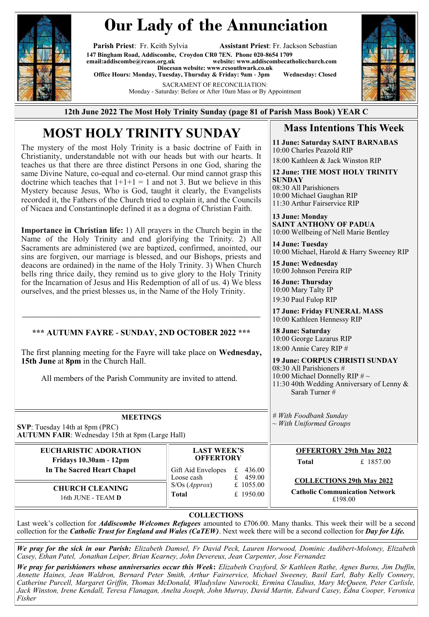

## **Our Lady of the Annunciation**

**Parish Priest**: Fr. Keith Sylvia **Assistant Priest**: Fr. Jackson Sebastian **147 Bingham Road, Addiscombe, Croydon CR0 7EN. Phone 020-8654 1709**  $website: [www.addiscombecatholicchurch.com](http://www.addiscombecatholicchurch.com)$  $website: [www.addiscombecatholicchurch.com](http://www.addiscombecatholicchurch.com)$  $website: [www.addiscombecatholicchurch.com](http://www.addiscombecatholicchurch.com)$ **Diocesan website: [www.rcsouthwark.co.uk](http://www.rcsouthwark.co.uk/)  Office Hours: Monday, Tuesday, Thursday & Friday: 9am - 3pm Wednesday: Closed**

SACRAMENT OF RECONCILIATION:

Monday - Saturday: Before or After 10am Mass or By Appointment



**12th June 2022 The Most Holy Trinity Sunday (page 81 of Parish Mass Book) YEAR C**

### **MOST HOLY TRINITY SUNDAY**

The mystery of the most Holy Trinity is a basic doctrine of Faith in Christianity, understandable not with our heads but with our hearts. It teaches us that there are three distinct Persons in one God, sharing the same Divine Nature, co-equal and co-eternal. Our mind cannot grasp this doctrine which teaches that  $1+1+1 = 1$  and not 3. But we believe in this Mystery because Jesus, Who is God, taught it clearly, the Evangelists recorded it, the Fathers of the Church tried to explain it, and the Councils of Nicaea and Constantinople defined it as a dogma of Christian Faith.

**Importance in Christian life:** 1) All prayers in the Church begin in the Name of the Holy Trinity and end glorifying the Trinity. 2) All Sacraments are administered (we are baptized, confirmed, anointed, our sins are forgiven, our marriage is blessed, and our Bishops, priests and deacons are ordained) in the name of the Holy Trinity. 3) When Church bells ring thrice daily, they remind us to give glory to the Holy Trinity for the Incarnation of Jesus and His Redemption of all of us. 4) We bless ourselves, and the priest blesses us, in the Name of the Holy Trinity.

#### **\*\*\* AUTUMN FAYRE - SUNDAY, 2ND OCTOBER 2022 \*\*\***

**————————————————————————————————**

The first planning meeting for the Fayre will take place on **Wednesday, 15th June** at **8pm** in the Church Hall.

# All members of the Parish Community are invited to attend.

**MEETINGS SVP**: Tuesday 14th at 8pm (PRC) **AUTUMN FAIR**: Wednesday 15th at 8pm (Large Hall)

> **EUCHARISTIC ADORATION Fridays 10.30am - 12pm In The Sacred Heart Chapel**

> > **CHURCH CLEANING**  16th JUNE - TEAM **D**

#### **Mass Intentions This Week**

**11 June: Saturday SAINT BARNABAS** 10:00 Charles Peazold RIP 18:00 Kathleen & Jack Winston RIP

**12 June: THE MOST HOLY TRINITY SUNDAY** 08:30 All Parishioners

10:00 Michael Gaughan RIP 11:30 Arthur Fairservice RIP

**13 June: Monday SAINT ANTHONY OF PADUA** 10:00 Wellbeing of Nell Marie Bentley

**14 June: Tuesday**  10:00 Michael, Harold & Harry Sweeney RIP

**15 June: Wednesday**  10:00 Johnson Pereira RIP

**16 June: Thursday**  10:00 Mary Talty IP 19:30 Paul Fulop RIP

**17 June: Friday FUNERAL MASS** 10:00 Kathleen Hennessy RIP

**18 June: Saturday**  10:00 George Lazarus RIP 18:00 Annie Carey RIP #

**19 June: CORPUS CHRISTI SUNDAY**  08:30 All Parishioners # 10:00 Michael Donnelly RIP  $\# \sim$ 11:30 40th Wedding Anniversary of Lenny & Sarah Turner #

*# With Foodbank Sunday ~ With Uniformed Groups*

**OFFERTORY 29th May 2022**

**Total** £ 1857.00

**COLLECTIONS 29th May 2022**

**Catholic Communication Network** £198.00

**COLLECTIONS**

**LAST WEEK'S OFFERTORY** Gift Aid Envelopes  $\begin{array}{r}\n\text{£} \\
\text{£} \\
\text{436.00} \\
\text{Loose cash} \\
\text{£} \\
\end{array}$ Loose cash  $\qquad \qquad \text{£}$ 

S/Os (*Approx*) £ 1055.00 **Total** £ 1950.00

Last week's collection for *Addiscombe Welcomes Refugees* amounted to £706.00. Many thanks. This week their will be a second collection for the *Catholic Trust for England and Wales (CaTEW)*. Next week there will be a second collection for *Day for Life.*

*We pray for the sick in our Parish: Elizabeth Damsel, Fr David Peck, Lauren Horwood, Dominic Audibert-Moloney, Elizabeth Casey, Ethan Patel, Jonathan Leiper, Brian Kearney, John Devereux, Jean Carpenter, Jose Fernandez*

*We pray for parishioners whose anniversaries occur this Week***:** *Elizabeth Crayford, Sr Kathleen Rathe, Agnes Burns, Jim Duffin, Annette Haines, Jean Waldron, Bernard Peter Smith, Arthur Fairservice, Michael Sweeney, Basil Earl, Baby Kelly Connery, Catherine Purcell, Margaret Griffin, Thomas McDonald, Wladyslaw Nawrocki, Ermina Claudius, Mary McQueen, Peter Carlisle, Jack Winston, Irene Kendall, Teresa Flanagan, Anelta Joseph, John Murray, David Martin, Edward Casey, Edna Cooper, Veronica Fisher*